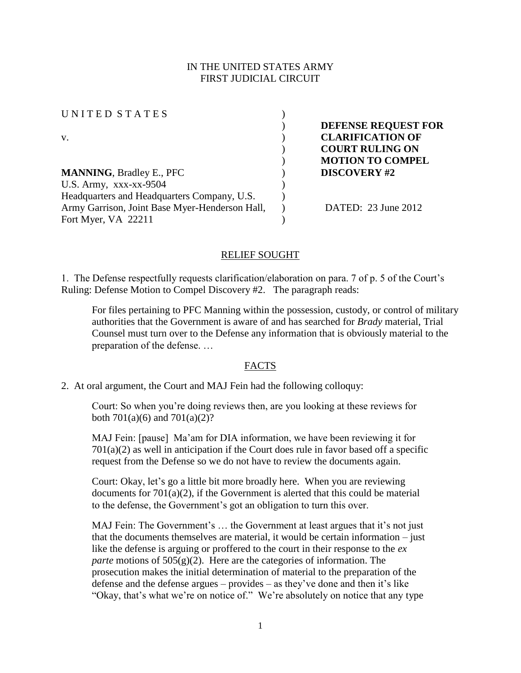## IN THE UNITED STATES ARMY FIRST JUDICIAL CIRCUIT

| UNITED STATES                                  |                         |
|------------------------------------------------|-------------------------|
|                                                | DEFENSE REQUEST FOR     |
| v.                                             | <b>CLARIFICATION OF</b> |
|                                                | <b>COURT RULING ON</b>  |
|                                                | <b>MOTION TO COMPEL</b> |
| <b>MANNING, Bradley E., PFC</b>                | <b>DISCOVERY #2</b>     |
| U.S. Army, xxx-xx-9504                         |                         |
| Headquarters and Headquarters Company, U.S.    |                         |
| Army Garrison, Joint Base Myer-Henderson Hall, | DATED: 23 June 2012     |
| Fort Myer, VA 22211                            |                         |
|                                                |                         |

#### RELIEF SOUGHT

1. The Defense respectfully requests clarification/elaboration on para. 7 of p. 5 of the Court's Ruling: Defense Motion to Compel Discovery #2. The paragraph reads:

For files pertaining to PFC Manning within the possession, custody, or control of military authorities that the Government is aware of and has searched for *Brady* material, Trial Counsel must turn over to the Defense any information that is obviously material to the preparation of the defense. …

#### FACTS

2. At oral argument, the Court and MAJ Fein had the following colloquy:

Court: So when you're doing reviews then, are you looking at these reviews for both  $701(a)(6)$  and  $701(a)(2)$ ?

MAJ Fein: [pause] Ma'am for DIA information, we have been reviewing it for  $701(a)(2)$  as well in anticipation if the Court does rule in favor based off a specific request from the Defense so we do not have to review the documents again.

Court: Okay, let's go a little bit more broadly here. When you are reviewing documents for 701(a)(2), if the Government is alerted that this could be material to the defense, the Government's got an obligation to turn this over.

MAJ Fein: The Government's … the Government at least argues that it's not just that the documents themselves are material, it would be certain information – just like the defense is arguing or proffered to the court in their response to the *ex parte* motions of 505(g)(2). Here are the categories of information. The prosecution makes the initial determination of material to the preparation of the defense and the defense argues – provides – as they've done and then it's like "Okay, that's what we're on notice of." We're absolutely on notice that any type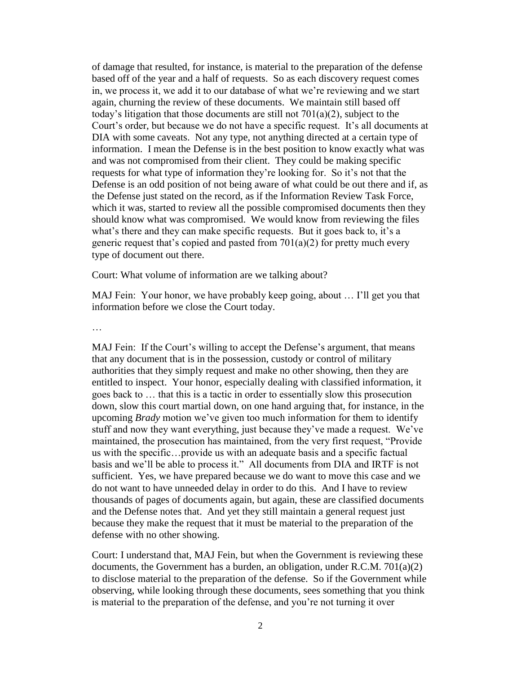of damage that resulted, for instance, is material to the preparation of the defense based off of the year and a half of requests. So as each discovery request comes in, we process it, we add it to our database of what we're reviewing and we start again, churning the review of these documents. We maintain still based off today's litigation that those documents are still not 701(a)(2), subject to the Court's order, but because we do not have a specific request. It's all documents at DIA with some caveats. Not any type, not anything directed at a certain type of information. I mean the Defense is in the best position to know exactly what was and was not compromised from their client. They could be making specific requests for what type of information they're looking for. So it's not that the Defense is an odd position of not being aware of what could be out there and if, as the Defense just stated on the record, as if the Information Review Task Force, which it was, started to review all the possible compromised documents then they should know what was compromised. We would know from reviewing the files what's there and they can make specific requests. But it goes back to, it's a generic request that's copied and pasted from  $701(a)(2)$  for pretty much every type of document out there.

Court: What volume of information are we talking about?

MAJ Fein: Your honor, we have probably keep going, about … I'll get you that information before we close the Court today.

MAJ Fein: If the Court's willing to accept the Defense's argument, that means that any document that is in the possession, custody or control of military authorities that they simply request and make no other showing, then they are entitled to inspect. Your honor, especially dealing with classified information, it goes back to … that this is a tactic in order to essentially slow this prosecution down, slow this court martial down, on one hand arguing that, for instance, in the upcoming *Brady* motion we've given too much information for them to identify stuff and now they want everything, just because they've made a request. We've maintained, the prosecution has maintained, from the very first request, "Provide us with the specific…provide us with an adequate basis and a specific factual basis and we'll be able to process it." All documents from DIA and IRTF is not sufficient. Yes, we have prepared because we do want to move this case and we do not want to have unneeded delay in order to do this. And I have to review thousands of pages of documents again, but again, these are classified documents and the Defense notes that. And yet they still maintain a general request just because they make the request that it must be material to the preparation of the defense with no other showing.

Court: I understand that, MAJ Fein, but when the Government is reviewing these documents, the Government has a burden, an obligation, under R.C.M. 701(a)(2) to disclose material to the preparation of the defense. So if the Government while observing, while looking through these documents, sees something that you think is material to the preparation of the defense, and you're not turning it over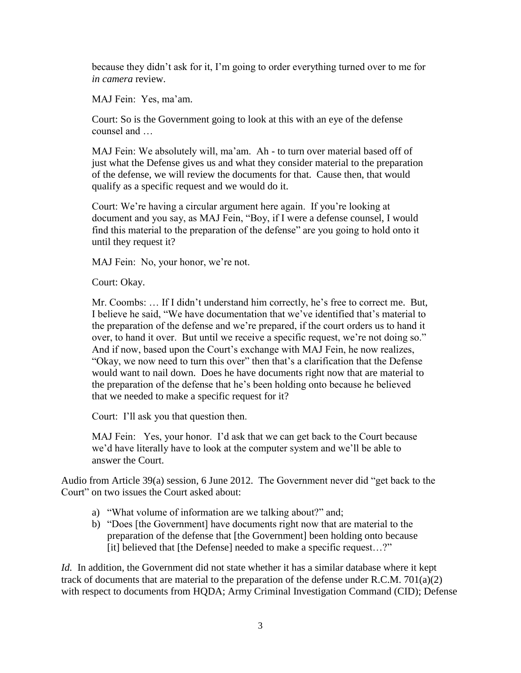because they didn't ask for it, I'm going to order everything turned over to me for *in camera* review.

MAJ Fein: Yes, ma'am.

Court: So is the Government going to look at this with an eye of the defense counsel and …

MAJ Fein: We absolutely will, ma'am. Ah - to turn over material based off of just what the Defense gives us and what they consider material to the preparation of the defense, we will review the documents for that. Cause then, that would qualify as a specific request and we would do it.

Court: We're having a circular argument here again. If you're looking at document and you say, as MAJ Fein, "Boy, if I were a defense counsel, I would find this material to the preparation of the defense" are you going to hold onto it until they request it?

MAJ Fein: No, your honor, we're not.

Court: Okay.

Mr. Coombs: … If I didn't understand him correctly, he's free to correct me. But, I believe he said, "We have documentation that we've identified that's material to the preparation of the defense and we're prepared, if the court orders us to hand it over, to hand it over. But until we receive a specific request, we're not doing so." And if now, based upon the Court's exchange with MAJ Fein, he now realizes, "Okay, we now need to turn this over" then that's a clarification that the Defense would want to nail down. Does he have documents right now that are material to the preparation of the defense that he's been holding onto because he believed that we needed to make a specific request for it?

Court: I'll ask you that question then.

MAJ Fein: Yes, your honor. I'd ask that we can get back to the Court because we'd have literally have to look at the computer system and we'll be able to answer the Court.

Audio from Article 39(a) session, 6 June 2012. The Government never did "get back to the Court" on two issues the Court asked about:

- a) "What volume of information are we talking about?" and;
- b) "Does [the Government] have documents right now that are material to the preparation of the defense that [the Government] been holding onto because [it] believed that [the Defense] needed to make a specific request…?"

*Id.* In addition, the Government did not state whether it has a similar database where it kept track of documents that are material to the preparation of the defense under R.C.M. 701(a)(2) with respect to documents from HQDA; Army Criminal Investigation Command (CID); Defense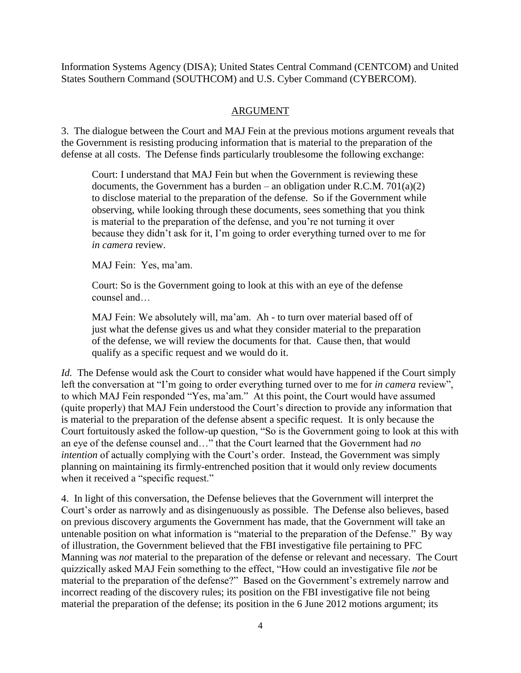Information Systems Agency (DISA); United States Central Command (CENTCOM) and United States Southern Command (SOUTHCOM) and U.S. Cyber Command (CYBERCOM).

# ARGUMENT

3. The dialogue between the Court and MAJ Fein at the previous motions argument reveals that the Government is resisting producing information that is material to the preparation of the defense at all costs. The Defense finds particularly troublesome the following exchange:

Court: I understand that MAJ Fein but when the Government is reviewing these documents, the Government has a burden – an obligation under R.C.M.  $701(a)(2)$ to disclose material to the preparation of the defense. So if the Government while observing, while looking through these documents, sees something that you think is material to the preparation of the defense, and you're not turning it over because they didn't ask for it, I'm going to order everything turned over to me for *in camera* review.

MAJ Fein: Yes, ma'am.

Court: So is the Government going to look at this with an eye of the defense counsel and…

MAJ Fein: We absolutely will, ma'am. Ah - to turn over material based off of just what the defense gives us and what they consider material to the preparation of the defense, we will review the documents for that. Cause then, that would qualify as a specific request and we would do it.

*Id.* The Defense would ask the Court to consider what would have happened if the Court simply left the conversation at "I'm going to order everything turned over to me for *in camera* review", to which MAJ Fein responded "Yes, ma'am." At this point, the Court would have assumed (quite properly) that MAJ Fein understood the Court's direction to provide any information that is material to the preparation of the defense absent a specific request. It is only because the Court fortuitously asked the follow-up question, "So is the Government going to look at this with an eye of the defense counsel and…" that the Court learned that the Government had *no intention* of actually complying with the Court's order. Instead, the Government was simply planning on maintaining its firmly-entrenched position that it would only review documents when it received a "specific request."

4. In light of this conversation, the Defense believes that the Government will interpret the Court's order as narrowly and as disingenuously as possible. The Defense also believes, based on previous discovery arguments the Government has made, that the Government will take an untenable position on what information is "material to the preparation of the Defense." By way of illustration, the Government believed that the FBI investigative file pertaining to PFC Manning was *not* material to the preparation of the defense or relevant and necessary. The Court quizzically asked MAJ Fein something to the effect, "How could an investigative file *not* be material to the preparation of the defense?" Based on the Government's extremely narrow and incorrect reading of the discovery rules; its position on the FBI investigative file not being material the preparation of the defense; its position in the 6 June 2012 motions argument; its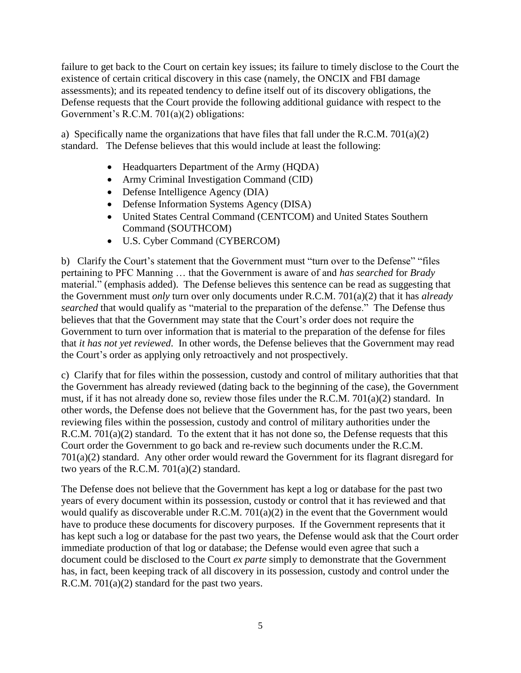failure to get back to the Court on certain key issues; its failure to timely disclose to the Court the existence of certain critical discovery in this case (namely, the ONCIX and FBI damage assessments); and its repeated tendency to define itself out of its discovery obligations, the Defense requests that the Court provide the following additional guidance with respect to the Government's R.C.M. 701(a)(2) obligations:

a) Specifically name the organizations that have files that fall under the R.C.M. 701(a)(2) standard. The Defense believes that this would include at least the following:

- Headquarters Department of the Army (HQDA)
- Army Criminal Investigation Command (CID)
- Defense Intelligence Agency (DIA)
- Defense Information Systems Agency (DISA)
- United States Central Command (CENTCOM) and United States Southern Command (SOUTHCOM)
- U.S. Cyber Command (CYBERCOM)

b) Clarify the Court's statement that the Government must "turn over to the Defense" "files pertaining to PFC Manning … that the Government is aware of and *has searched* for *Brady*  material." (emphasis added). The Defense believes this sentence can be read as suggesting that the Government must *only* turn over only documents under R.C.M. 701(a)(2) that it has *already searched* that would qualify as "material to the preparation of the defense." The Defense thus believes that that the Government may state that the Court's order does not require the Government to turn over information that is material to the preparation of the defense for files that *it has not yet reviewed*. In other words, the Defense believes that the Government may read the Court's order as applying only retroactively and not prospectively.

c) Clarify that for files within the possession, custody and control of military authorities that that the Government has already reviewed (dating back to the beginning of the case), the Government must, if it has not already done so, review those files under the R.C.M. 701(a)(2) standard. In other words, the Defense does not believe that the Government has, for the past two years, been reviewing files within the possession, custody and control of military authorities under the R.C.M. 701(a)(2) standard. To the extent that it has not done so, the Defense requests that this Court order the Government to go back and re-review such documents under the R.C.M. 701(a)(2) standard. Any other order would reward the Government for its flagrant disregard for two years of the R.C.M. 701(a)(2) standard.

The Defense does not believe that the Government has kept a log or database for the past two years of every document within its possession, custody or control that it has reviewed and that would qualify as discoverable under R.C.M. 701(a)(2) in the event that the Government would have to produce these documents for discovery purposes. If the Government represents that it has kept such a log or database for the past two years, the Defense would ask that the Court order immediate production of that log or database; the Defense would even agree that such a document could be disclosed to the Court *ex parte* simply to demonstrate that the Government has, in fact, been keeping track of all discovery in its possession, custody and control under the R.C.M. 701(a)(2) standard for the past two years.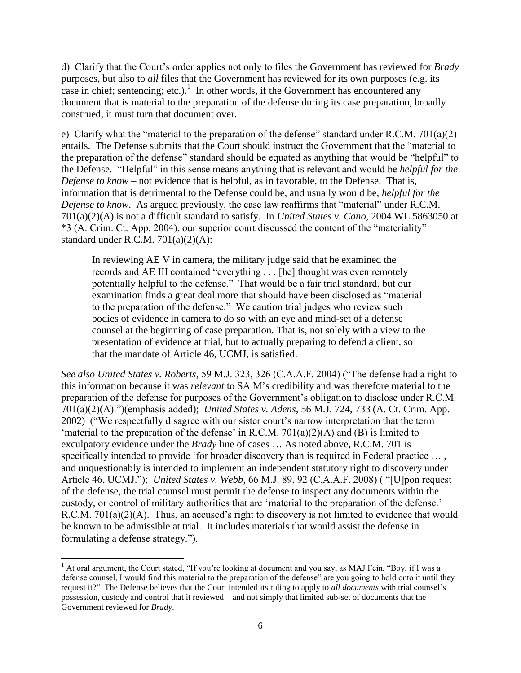d) Clarify that the Court's order applies not only to files the Government has reviewed for *Brady* purposes, but also to *all* files that the Government has reviewed for its own purposes (e.g. its case in chief; sentencing; etc.).<sup>1</sup> In other words, if the Government has encountered any document that is material to the preparation of the defense during its case preparation, broadly construed, it must turn that document over.

e) Clarify what the "material to the preparation of the defense" standard under R.C.M. 701(a)(2) entails. The Defense submits that the Court should instruct the Government that the "material to the preparation of the defense" standard should be equated as anything that would be "helpful" to the Defense. "Helpful" in this sense means anything that is relevant and would be *helpful for the Defense to know* – not evidence that is helpful, as in favorable, to the Defense. That is, information that is detrimental to the Defense could be, and usually would be, *helpful for the Defense to know*. As argued previously, the case law reaffirms that "material" under R.C.M. 701(a)(2)(A) is not a difficult standard to satisfy. In *United States v. Cano*, 2004 WL 5863050 at \*3 (A. Crim. Ct. App. 2004), our superior court discussed the content of the "materiality" standard under R.C.M. 701(a)(2)(A):

In reviewing AE V in camera, the military judge said that he examined the records and AE III contained "everything . . . [he] thought was even remotely potentially helpful to the defense." That would be a fair trial standard, but our examination finds a great deal more that should have been disclosed as "material to the preparation of the defense." We caution trial judges who review such bodies of evidence in camera to do so with an eye and mind-set of a defense counsel at the beginning of case preparation. That is, not solely with a view to the presentation of evidence at trial, but to actually preparing to defend a client, so that the mandate of Article 46, UCMJ, is satisfied.

*See also United States v. Roberts,* 59 M.J. 323, 326 (C.A.A.F. 2004) ("The defense had a right to this information because it was *relevant* to SA M's credibility and was therefore material to the preparation of the defense for purposes of the Government's obligation to disclose under R.C.M. 701(a)(2)(A).")(emphasis added); *United States v. Adens*, 56 M.J. 724, 733 (A. Ct. Crim. App. 2002) ("We respectfully disagree with our sister court's narrow interpretation that the term 'material to the preparation of the defense' in R.C.M.  $701(a)(2)(A)$  and (B) is limited to exculpatory evidence under the *[Brady](http://web2.westlaw.com/find/default.wl?rs=WLW12.01&pbc=897863B0&vr=2.0&findtype=Y&rp=%2ffind%2fdefault.wl&sv=Split&fn=_top&tf=-1&ordoc=2002039083&mt=208&serialnum=1963125353&tc=-1)* line of cases … As noted above, R.C.M. 701 is specifically intended to provide 'for broader discovery than is required in Federal practice … , and unquestionably is intended to implement an independent statutory right to discovery under Article 46, UCMJ."); *United States v. Webb,* 66 M.J. 89, 92 (C.A.A.F. 2008) ( "[U]pon request of the defense, the trial counsel must permit the defense to inspect any documents within the custody, or control of military authorities that are 'material to the preparation of the defense.' R.C.M. 701(a)(2)(A). Thus, an accused's right to discovery is not limited to evidence that would be known to be admissible at trial. It includes materials that would assist the defense in formulating a defense strategy.").

 $\overline{a}$  $1$  At oral argument, the Court stated, "If you're looking at document and you say, as MAJ Fein, "Boy, if I was a defense counsel, I would find this material to the preparation of the defense" are you going to hold onto it until they request it?" The Defense believes that the Court intended its ruling to apply to *all documents* with trial counsel's possession, custody and control that it reviewed – and not simply that limited sub-set of documents that the Government reviewed for *Brady*.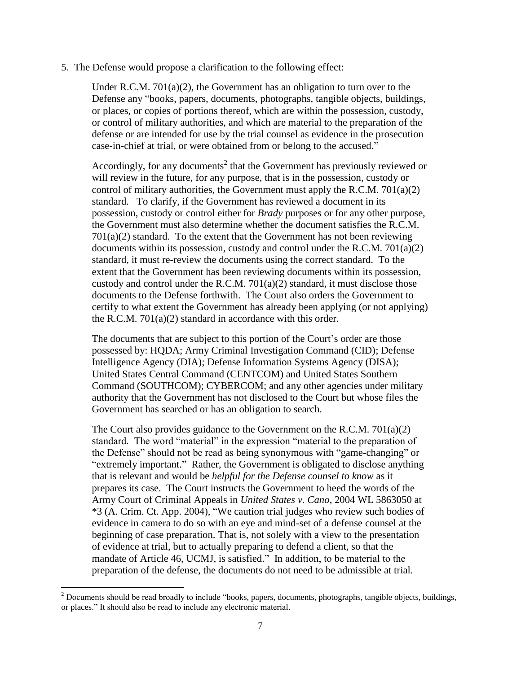5. The Defense would propose a clarification to the following effect:

Under R.C.M. 701(a)(2), the Government has an obligation to turn over to the Defense any "books, papers, documents, photographs, tangible objects, buildings, or places, or copies of portions thereof, which are within the possession, custody, or control of military authorities, and which are material to the preparation of the defense or are intended for use by the trial counsel as evidence in the prosecution case-in-chief at trial, or were obtained from or belong to the accused."

Accordingly, for any documents<sup>2</sup> that the Government has previously reviewed or will review in the future, for any purpose, that is in the possession, custody or control of military authorities, the Government must apply the R.C.M. 701(a)(2) standard. To clarify, if the Government has reviewed a document in its possession, custody or control either for *Brady* purposes or for any other purpose, the Government must also determine whether the document satisfies the R.C.M.  $701(a)(2)$  standard. To the extent that the Government has not been reviewing documents within its possession, custody and control under the R.C.M.  $701(a)(2)$ standard, it must re-review the documents using the correct standard. To the extent that the Government has been reviewing documents within its possession, custody and control under the R.C.M.  $701(a)(2)$  standard, it must disclose those documents to the Defense forthwith. The Court also orders the Government to certify to what extent the Government has already been applying (or not applying) the R.C.M. 701(a)(2) standard in accordance with this order.

The documents that are subject to this portion of the Court's order are those possessed by: HQDA; Army Criminal Investigation Command (CID); Defense Intelligence Agency (DIA); Defense Information Systems Agency (DISA); United States Central Command (CENTCOM) and United States Southern Command (SOUTHCOM); CYBERCOM; and any other agencies under military authority that the Government has not disclosed to the Court but whose files the Government has searched or has an obligation to search.

The Court also provides guidance to the Government on the R.C.M. 701(a)(2) standard. The word "material" in the expression "material to the preparation of the Defense" should not be read as being synonymous with "game-changing" or "extremely important." Rather, the Government is obligated to disclose anything that is relevant and would be *helpful for the Defense counsel to know* as it prepares its case. The Court instructs the Government to heed the words of the Army Court of Criminal Appeals in *United States v. Cano*, 2004 WL 5863050 at \*3 (A. Crim. Ct. App. 2004), "We caution trial judges who review such bodies of evidence in camera to do so with an eye and mind-set of a defense counsel at the beginning of case preparation. That is, not solely with a view to the presentation of evidence at trial, but to actually preparing to defend a client, so that the mandate of Article 46, UCMJ, is satisfied." In addition, to be material to the preparation of the defense, the documents do not need to be admissible at trial.

 $\overline{\phantom{a}}$ 

 $2^{2}$  Documents should be read broadly to include "books, papers, documents, photographs, tangible objects, buildings, or places." It should also be read to include any electronic material.